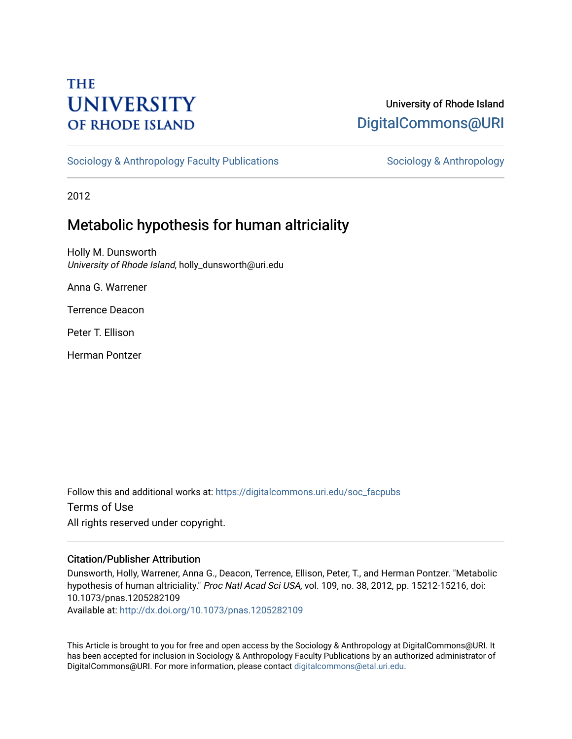## **THE UNIVERSITY OF RHODE ISLAND**

## University of Rhode Island [DigitalCommons@URI](https://digitalcommons.uri.edu/)

[Sociology & Anthropology Faculty Publications](https://digitalcommons.uri.edu/soc_facpubs) [Sociology & Anthropology](https://digitalcommons.uri.edu/soc) & Anthropology

2012

## Metabolic hypothesis for human altriciality

Holly M. Dunsworth University of Rhode Island, holly\_dunsworth@uri.edu

Anna G. Warrener

Terrence Deacon

Peter T. Ellison

Herman Pontzer

Follow this and additional works at: [https://digitalcommons.uri.edu/soc\\_facpubs](https://digitalcommons.uri.edu/soc_facpubs?utm_source=digitalcommons.uri.edu%2Fsoc_facpubs%2F22&utm_medium=PDF&utm_campaign=PDFCoverPages)  Terms of Use All rights reserved under copyright.

### Citation/Publisher Attribution

Dunsworth, Holly, Warrener, Anna G., Deacon, Terrence, Ellison, Peter, T., and Herman Pontzer. "Metabolic hypothesis of human altriciality." Proc Natl Acad Sci USA, vol. 109, no. 38, 2012, pp. 15212-15216, doi: 10.1073/pnas.1205282109

Available at:<http://dx.doi.org/10.1073/pnas.1205282109>

This Article is brought to you for free and open access by the Sociology & Anthropology at DigitalCommons@URI. It has been accepted for inclusion in Sociology & Anthropology Faculty Publications by an authorized administrator of DigitalCommons@URI. For more information, please contact [digitalcommons@etal.uri.edu.](mailto:digitalcommons@etal.uri.edu)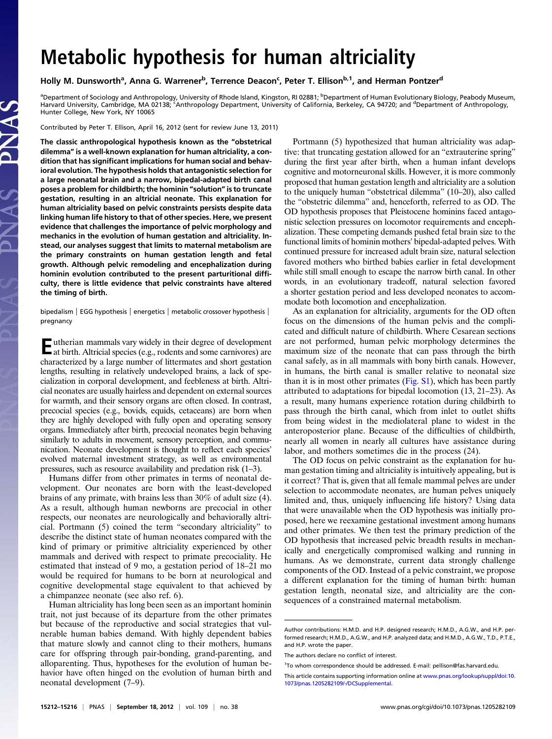# Metabolic hypothesis for human altriciality

Holly M. Dunsworth<sup>a</sup>, Anna G. Warrener<sup>b</sup>, Terrence Deacon<sup>c</sup>, Peter T. Ellison<sup>b,1</sup>, and Herman Pontzer<sup>d</sup>

<sup>a</sup>Department of Sociology and Anthropology, University of Rhode Island, Kingston, RI 02881; <sup>b</sup>Department of Human Evolutionary Biology, Peabody Museum, Harvard University, Cambridge, MA 02138; Anthropology Department, University of California, Berkeley, CA 94720; and <sup>d</sup>Department of Anthropology, Hunter College, New York, NY 10065

Contributed by Peter T. Ellison, April 16, 2012 (sent for review June 13, 2011)

The classic anthropological hypothesis known as the "obstetrical dilemma" is a well-known explanation for human altriciality, a condition that has significant implications for human social and behavioral evolution. The hypothesis holds that antagonistic selection for a large neonatal brain and a narrow, bipedal-adapted birth canal poses a problem for childbirth; the hominin "solution" is to truncate gestation, resulting in an altricial neonate. This explanation for human altriciality based on pelvic constraints persists despite data linking human life history to that of other species. Here, we present evidence that challenges the importance of pelvic morphology and mechanics in the evolution of human gestation and altriciality. Instead, our analyses suggest that limits to maternal metabolism are the primary constraints on human gestation length and fetal growth. Although pelvic remodeling and encephalization during hominin evolution contributed to the present parturitional difficulty, there is little evidence that pelvic constraints have altered the timing of birth.

bipedalism | EGG hypothesis | energetics | metabolic crossover hypothesis | pregnancy

Eutherian mammals vary widely in their degree of development at birth. Altricial species (e.g., rodents and some carnivores) are characterized by a large number of littermates and short gestation lengths, resulting in relatively undeveloped brains, a lack of specialization in corporal development, and feebleness at birth. Altricial neonates are usually hairless and dependent on external sources for warmth, and their sensory organs are often closed. In contrast, precocial species (e.g., bovids, equids, cetaceans) are born when they are highly developed with fully open and operating sensory organs. Immediately after birth, precocial neonates begin behaving similarly to adults in movement, sensory perception, and communication. Neonate development is thought to reflect each species' evolved maternal investment strategy, as well as environmental pressures, such as resource availability and predation risk (1–3).

Humans differ from other primates in terms of neonatal development. Our neonates are born with the least-developed brains of any primate, with brains less than 30% of adult size (4). As a result, although human newborns are precocial in other respects, our neonates are neurologically and behaviorally altricial. Portmann (5) coined the term "secondary altriciality" to describe the distinct state of human neonates compared with the kind of primary or primitive altriciality experienced by other mammals and derived with respect to primate precociality. He estimated that instead of 9 mo, a gestation period of 18–21 mo would be required for humans to be born at neurological and cognitive developmental stage equivalent to that achieved by a chimpanzee neonate (see also ref. 6).

Human altriciality has long been seen as an important hominin trait, not just because of its departure from the other primates but because of the reproductive and social strategies that vulnerable human babies demand. With highly dependent babies that mature slowly and cannot cling to their mothers, humans care for offspring through pair-bonding, grand-parenting, and alloparenting. Thus, hypotheses for the evolution of human behavior have often hinged on the evolution of human birth and neonatal development (7–9).

Portmann (5) hypothesized that human altriciality was adaptive: that truncating gestation allowed for an "extrauterine spring" during the first year after birth, when a human infant develops cognitive and motorneuronal skills. However, it is more commonly proposed that human gestation length and altriciality are a solution to the uniquely human "obstetrical dilemma" (10–20), also called the "obstetric dilemma" and, henceforth, referred to as OD. The OD hypothesis proposes that Pleistocene hominins faced antagonistic selection pressures on locomotor requirements and encephalization. These competing demands pushed fetal brain size to the functional limits of hominin mothers' bipedal-adapted pelves. With continued pressure for increased adult brain size, natural selection favored mothers who birthed babies earlier in fetal development while still small enough to escape the narrow birth canal. In other words, in an evolutionary tradeoff, natural selection favored a shorter gestation period and less developed neonates to accommodate both locomotion and encephalization.

As an explanation for altriciality, arguments for the OD often focus on the dimensions of the human pelvis and the complicated and difficult nature of childbirth. Where Cesarean sections are not performed, human pelvic morphology determines the maximum size of the neonate that can pass through the birth canal safely, as in all mammals with bony birth canals. However, in humans, the birth canal is smaller relative to neonatal size than it is in most other primates ([Fig. S1\)](http://www.pnas.org/lookup/suppl/doi:10.1073/pnas.1205282109/-/DCSupplemental/pnas.201205282SI.pdf?targetid=nameddest=SF1), which has been partly attributed to adaptations for bipedal locomotion (13, 21–23). As a result, many humans experience rotation during childbirth to pass through the birth canal, which from inlet to outlet shifts from being widest in the mediolateral plane to widest in the anteroposterior plane. Because of the difficulties of childbirth, nearly all women in nearly all cultures have assistance during labor, and mothers sometimes die in the process (24).

The OD focus on pelvic constraint as the explanation for human gestation timing and altriciality is intuitively appealing, but is it correct? That is, given that all female mammal pelves are under selection to accommodate neonates, are human pelves uniquely limited and, thus, uniquely influencing life history? Using data that were unavailable when the OD hypothesis was initially proposed, here we reexamine gestational investment among humans and other primates. We then test the primary prediction of the OD hypothesis that increased pelvic breadth results in mechanically and energetically compromised walking and running in humans. As we demonstrate, current data strongly challenge components of the OD. Instead of a pelvic constraint, we propose a different explanation for the timing of human birth: human gestation length, neonatal size, and altriciality are the consequences of a constrained maternal metabolism.

Author contributions: H.M.D. and H.P. designed research; H.M.D., A.G.W., and H.P. performed research; H.M.D., A.G.W., and H.P. analyzed data; and H.M.D., A.G.W., T.D., P.T.E., and H.P. wrote the paper.

The authors declare no conflict of interest.

<sup>&</sup>lt;sup>1</sup>To whom correspondence should be addressed. E-mail: [pellison@fas.harvard.edu.](mailto:pellison@fas.harvard.edu)

This article contains supporting information online at [www.pnas.org/lookup/suppl/doi:10.](http://www.pnas.org/lookup/suppl/doi:10.1073/pnas.1205282109/-/DCSupplemental) [1073/pnas.1205282109/-/DCSupplemental.](http://www.pnas.org/lookup/suppl/doi:10.1073/pnas.1205282109/-/DCSupplemental)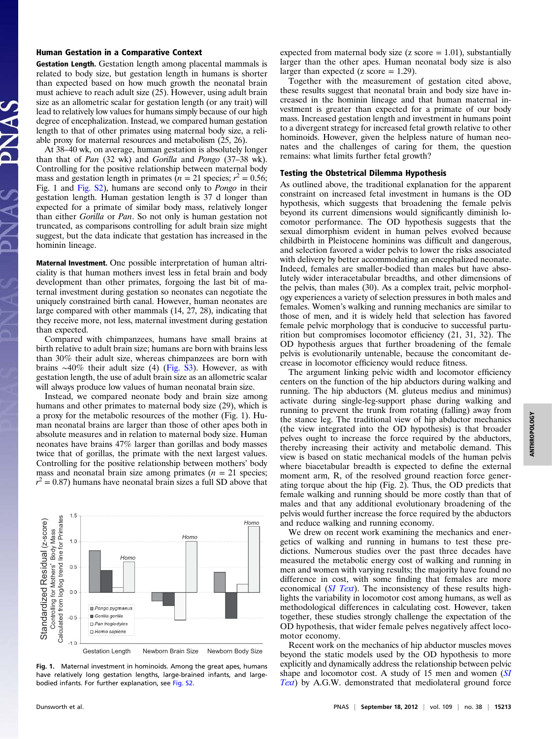### Human Gestation in a Comparative Context

Gestation Length. Gestation length among placental mammals is related to body size, but gestation length in humans is shorter than expected based on how much growth the neonatal brain must achieve to reach adult size (25). However, using adult brain size as an allometric scalar for gestation length (or any trait) will lead to relatively low values for humans simply because of our high degree of encephalization. Instead, we compared human gestation length to that of other primates using maternal body size, a reliable proxy for maternal resources and metabolism (25, 26).

At 38–40 wk, on average, human gestation is absolutely longer than that of Pan (32 wk) and Gorilla and Pongo (37–38 wk). Controlling for the positive relationship between maternal body mass and gestation length in primates  $(n = 21 \text{ species}; r^2 = 0.56;$ <br>Fig. 1 and Fig. S2), humans are second only to *Pongo* in their Fig. 1 and [Fig. S2](http://www.pnas.org/lookup/suppl/doi:10.1073/pnas.1205282109/-/DCSupplemental/pnas.201205282SI.pdf?targetid=nameddest=SF2)), humans are second only to *Pongo* in their gestation length. Human gestation length is 37 d longer than expected for a primate of similar body mass, relatively longer than either Gorilla or Pan. So not only is human gestation not truncated, as comparisons controlling for adult brain size might suggest, but the data indicate that gestation has increased in the hominin lineage.

Maternal Investment. One possible interpretation of human altriciality is that human mothers invest less in fetal brain and body development than other primates, forgoing the last bit of maternal investment during gestation so neonates can negotiate the uniquely constrained birth canal. However, human neonates are large compared with other mammals (14, 27, 28), indicating that they receive more, not less, maternal investment during gestation than expected.

Compared with chimpanzees, humans have small brains at birth relative to adult brain size; humans are born with brains less than 30% their adult size, whereas chimpanzees are born with brains ∼40% their adult size (4) [\(Fig. S3\)](http://www.pnas.org/lookup/suppl/doi:10.1073/pnas.1205282109/-/DCSupplemental/pnas.201205282SI.pdf?targetid=nameddest=SF3). However, as with gestation length, the use of adult brain size as an allometric scalar will always produce low values of human neonatal brain size.

Instead, we compared neonate body and brain size among humans and other primates to maternal body size (29), which is a proxy for the metabolic resources of the mother (Fig. 1). Human neonatal brains are larger than those of other apes both in absolute measures and in relation to maternal body size. Human neonates have brains 47% larger than gorillas and body masses twice that of gorillas, the primate with the next largest values. Controlling for the positive relationship between mothers' body mass and neonatal brain size among primates  $(n = 21$  species;  $r^2 = 0.87$ ) humans have neonatal brain sizes a full SD above that



Fig. 1. Maternal investment in hominoids. Among the great apes, humans have relatively long gestation lengths, large-brained infants, and largebodied infants. For further explanation, see [Fig. S2](http://www.pnas.org/lookup/suppl/doi:10.1073/pnas.1205282109/-/DCSupplemental/pnas.201205282SI.pdf?targetid=nameddest=SF2).

expected from maternal body size ( $z$  score  $= 1.01$ ), substantially larger than the other apes. Human neonatal body size is also larger than expected ( $z$  score = 1.29).

Together with the measurement of gestation cited above, these results suggest that neonatal brain and body size have increased in the hominin lineage and that human maternal investment is greater than expected for a primate of our body mass. Increased gestation length and investment in humans point to a divergent strategy for increased fetal growth relative to other hominoids. However, given the helpless nature of human neonates and the challenges of caring for them, the question remains: what limits further fetal growth?

### Testing the Obstetrical Dilemma Hypothesis

As outlined above, the traditional explanation for the apparent constraint on increased fetal investment in humans is the OD hypothesis, which suggests that broadening the female pelvis beyond its current dimensions would significantly diminish locomotor performance. The OD hypothesis suggests that the sexual dimorphism evident in human pelves evolved because childbirth in Pleistocene hominins was difficult and dangerous, and selection favored a wider pelvis to lower the risks associated with delivery by better accommodating an encephalized neonate. Indeed, females are smaller-bodied than males but have absolutely wider interacetabular breadths, and other dimensions of the pelvis, than males (30). As a complex trait, pelvic morphology experiences a variety of selection pressures in both males and females. Women's walking and running mechanics are similar to those of men, and it is widely held that selection has favored female pelvic morphology that is conducive to successful parturition but compromises locomotor efficiency (21, 31, 32). The OD hypothesis argues that further broadening of the female pelvis is evolutionarily untenable, because the concomitant decrease in locomotor efficiency would reduce fitness.

The argument linking pelvic width and locomotor efficiency centers on the function of the hip abductors during walking and running. The hip abductors (M. gluteus medius and minimus) activate during single-leg-support phase during walking and running to prevent the trunk from rotating (falling) away from the stance leg. The traditional view of hip abductor mechanics (the view integrated into the OD hypothesis) is that broader pelves ought to increase the force required by the abductors, thereby increasing their activity and metabolic demand. This view is based on static mechanical models of the human pelvis where biacetabular breadth is expected to define the external moment arm, R, of the resolved ground reaction force generating torque about the hip (Fig. 2). Thus, the OD predicts that female walking and running should be more costly than that of males and that any additional evolutionary broadening of the pelvis would further increase the force required by the abductors and reduce walking and running economy.

We drew on recent work examining the mechanics and energetics of walking and running in humans to test these predictions. Numerous studies over the past three decades have measured the metabolic energy cost of walking and running in men and women with varying results; the majority have found no difference in cost, with some finding that females are more economical (*[SI Text](http://www.pnas.org/lookup/suppl/doi:10.1073/pnas.1205282109/-/DCSupplemental/pnas.201205282SI.pdf?targetid=nameddest=STXT)*). The inconsistency of these results highlights the variability in locomotor cost among humans, as well as methodological differences in calculating cost. However, taken together, these studies strongly challenge the expectation of the OD hypothesis, that wider female pelves negatively affect locomotor economy.

Recent work on the mechanics of hip abductor muscles moves beyond the static models used by the OD hypothesis to more explicitly and dynamically address the relationship between pelvic shape and locomotor cost. A study of 15 men and women ([SI](http://www.pnas.org/lookup/suppl/doi:10.1073/pnas.1205282109/-/DCSupplemental/pnas.201205282SI.pdf?targetid=nameddest=STXT) [Text](http://www.pnas.org/lookup/suppl/doi:10.1073/pnas.1205282109/-/DCSupplemental/pnas.201205282SI.pdf?targetid=nameddest=STXT)) by A.G.W. demonstrated that mediolateral ground force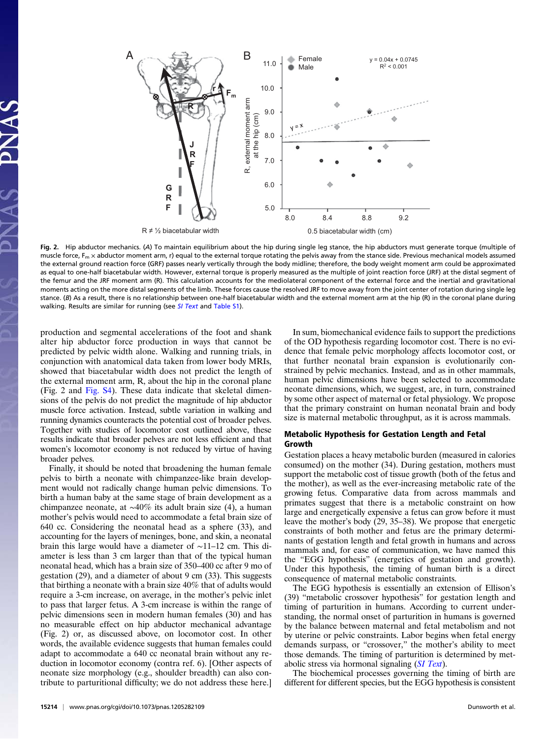

Fig. 2. Hip abductor mechanics. (A) To maintain equilibrium about the hip during single leg stance, the hip abductors must generate torque (multiple of muscle force,  $F_m \times$  abductor moment arm, r) equal to the external torque rotating the pelvis away from the stance side. Previous mechanical models assumed the external ground reaction force (GRF) passes nearly vertically through the body midline; therefore, the body weight moment arm could be approximated as equal to one-half biacetabular width. However, external torque is properly measured as the multiple of joint reaction force (JRF) at the distal segment of the femur and the JRF moment arm (R). This calculation accounts for the mediolateral component of the external force and the inertial and gravitational moments acting on the more distal segments of the limb. These forces cause the resolved JRF to move away from the joint center of rotation during single leg stance. (B) As a result, there is no relationship between one-half biacetabular width and the external moment arm at the hip (R) in the coronal plane during walking. Results are similar for running (see [SI Text](http://www.pnas.org/lookup/suppl/doi:10.1073/pnas.1205282109/-/DCSupplemental/pnas.201205282SI.pdf?targetid=nameddest=STXT) and [Table S1](http://www.pnas.org/lookup/suppl/doi:10.1073/pnas.1205282109/-/DCSupplemental/pnas.201205282SI.pdf?targetid=nameddest=ST1)).

production and segmental accelerations of the foot and shank alter hip abductor force production in ways that cannot be predicted by pelvic width alone. Walking and running trials, in conjunction with anatomical data taken from lower body MRIs, showed that biacetabular width does not predict the length of the external moment arm, R, about the hip in the coronal plane (Fig. 2 and [Fig. S4](http://www.pnas.org/lookup/suppl/doi:10.1073/pnas.1205282109/-/DCSupplemental/pnas.201205282SI.pdf?targetid=nameddest=SF4)). These data indicate that skeletal dimensions of the pelvis do not predict the magnitude of hip abductor muscle force activation. Instead, subtle variation in walking and running dynamics counteracts the potential cost of broader pelves. Together with studies of locomotor cost outlined above, these results indicate that broader pelves are not less efficient and that women's locomotor economy is not reduced by virtue of having broader pelves.

Finally, it should be noted that broadening the human female pelvis to birth a neonate with chimpanzee-like brain development would not radically change human pelvic dimensions. To birth a human baby at the same stage of brain development as a chimpanzee neonate, at ∼40% its adult brain size (4), a human mother's pelvis would need to accommodate a fetal brain size of 640 cc. Considering the neonatal head as a sphere (33), and accounting for the layers of meninges, bone, and skin, a neonatal brain this large would have a diameter of ∼11–12 cm. This diameter is less than 3 cm larger than that of the typical human neonatal head, which has a brain size of 350–400 cc after 9 mo of gestation (29), and a diameter of about 9 cm (33). This suggests that birthing a neonate with a brain size 40% that of adults would require a 3-cm increase, on average, in the mother's pelvic inlet to pass that larger fetus. A 3-cm increase is within the range of pelvic dimensions seen in modern human females (30) and has no measurable effect on hip abductor mechanical advantage (Fig. 2) or, as discussed above, on locomotor cost. In other words, the available evidence suggests that human females could adapt to accommodate a 640 cc neonatal brain without any reduction in locomotor economy (contra ref. 6). [Other aspects of neonate size morphology (e.g., shoulder breadth) can also contribute to parturitional difficulty; we do not address these here.]

In sum, biomechanical evidence fails to support the predictions of the OD hypothesis regarding locomotor cost. There is no evidence that female pelvic morphology affects locomotor cost, or that further neonatal brain expansion is evolutionarily constrained by pelvic mechanics. Instead, and as in other mammals, human pelvic dimensions have been selected to accommodate neonate dimensions, which, we suggest, are, in turn, constrained by some other aspect of maternal or fetal physiology. We propose that the primary constraint on human neonatal brain and body size is maternal metabolic throughput, as it is across mammals.

### Metabolic Hypothesis for Gestation Length and Fetal Growth

Gestation places a heavy metabolic burden (measured in calories consumed) on the mother (34). During gestation, mothers must support the metabolic cost of tissue growth (both of the fetus and the mother), as well as the ever-increasing metabolic rate of the growing fetus. Comparative data from across mammals and primates suggest that there is a metabolic constraint on how large and energetically expensive a fetus can grow before it must leave the mother's body (29, 35–38). We propose that energetic constraints of both mother and fetus are the primary determinants of gestation length and fetal growth in humans and across mammals and, for ease of communication, we have named this the "EGG hypothesis" (energetics of gestation and growth). Under this hypothesis, the timing of human birth is a direct consequence of maternal metabolic constraints.

The EGG hypothesis is essentially an extension of Ellison's (39) "metabolic crossover hypothesis" for gestation length and timing of parturition in humans. According to current understanding, the normal onset of parturition in humans is governed by the balance between maternal and fetal metabolism and not by uterine or pelvic constraints. Labor begins when fetal energy demands surpass, or "crossover," the mother's ability to meet those demands. The timing of parturition is determined by metabolic stress via hormonal signaling ([SI Text](http://www.pnas.org/lookup/suppl/doi:10.1073/pnas.1205282109/-/DCSupplemental/pnas.201205282SI.pdf?targetid=nameddest=STXT)).

The biochemical processes governing the timing of birth are different for different species, but the EGG hypothesis is consistent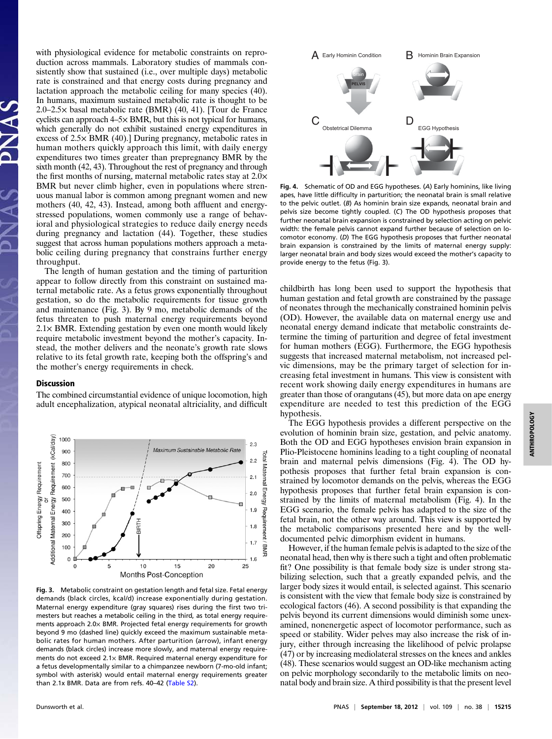with physiological evidence for metabolic constraints on reproduction across mammals. Laboratory studies of mammals consistently show that sustained (i.e., over multiple days) metabolic rate is constrained and that energy costs during pregnancy and lactation approach the metabolic ceiling for many species (40). In humans, maximum sustained metabolic rate is thought to be 2.0–2.5× basal metabolic rate (BMR) (40, 41). [Tour de France cyclists can approach  $4-5\times$  BMR, but this is not typical for humans, which generally do not exhibit sustained energy expenditures in excess of 2.5× BMR (40).] During pregnancy, metabolic rates in human mothers quickly approach this limit, with daily energy expenditures two times greater than prepregnancy BMR by the sixth month (42, 43). Throughout the rest of pregnancy and through the first months of nursing, maternal metabolic rates stay at 2.0× BMR but never climb higher, even in populations where strenuous manual labor is common among pregnant women and new mothers (40, 42, 43). Instead, among both affluent and energystressed populations, women commonly use a range of behavioral and physiological strategies to reduce daily energy needs during pregnancy and lactation (44). Together, these studies suggest that across human populations mothers approach a metabolic ceiling during pregnancy that constrains further energy throughput.

The length of human gestation and the timing of parturition appear to follow directly from this constraint on sustained maternal metabolic rate. As a fetus grows exponentially throughout gestation, so do the metabolic requirements for tissue growth and maintenance (Fig. 3). By 9 mo, metabolic demands of the fetus threaten to push maternal energy requirements beyond 2.1× BMR. Extending gestation by even one month would likely require metabolic investment beyond the mother's capacity. Instead, the mother delivers and the neonate's growth rate slows relative to its fetal growth rate, keeping both the offspring's and the mother's energy requirements in check.

#### **Discussion**

The combined circumstantial evidence of unique locomotion, high adult encephalization, atypical neonatal altriciality, and difficult



Fig. 3. Metabolic constraint on gestation length and fetal size. Fetal energy demands (black circles, kcal/d) increase exponentially during gestation. Maternal energy expenditure (gray squares) rises during the first two trimesters but reaches a metabolic ceiling in the third, as total energy requirements approach 2.0× BMR. Projected fetal energy requirements for growth beyond 9 mo (dashed line) quickly exceed the maximum sustainable metabolic rates for human mothers. After parturition (arrow), infant energy demands (black circles) increase more slowly, and maternal energy requirements do not exceed 2.1× BMR. Required maternal energy expenditure for a fetus developmentally similar to a chimpanzee newborn (7-mo-old infant; symbol with asterisk) would entail maternal energy requirements greater than 2.1x BMR. Data are from refs. 40–42 [\(Table S2\)](http://www.pnas.org/lookup/suppl/doi:10.1073/pnas.1205282109/-/DCSupplemental/pnas.201205282SI.pdf?targetid=nameddest=ST2).



Fig. 4. Schematic of OD and EGG hypotheses. (A) Early hominins, like living apes, have little difficulty in parturition; the neonatal brain is small relative to the pelvic outlet. (B) As hominin brain size expands, neonatal brain and pelvis size become tightly coupled. (C) The OD hypothesis proposes that further neonatal brain expansion is constrained by selection acting on pelvic width: the female pelvis cannot expand further because of selection on locomotor economy. (D) The EGG hypothesis proposes that further neonatal brain expansion is constrained by the limits of maternal energy supply: larger neonatal brain and body sizes would exceed the mother's capacity to provide energy to the fetus (Fig. 3).

childbirth has long been used to support the hypothesis that human gestation and fetal growth are constrained by the passage of neonates through the mechanically constrained hominin pelvis (OD). However, the available data on maternal energy use and neonatal energy demand indicate that metabolic constraints determine the timing of parturition and degree of fetal investment for human mothers (EGG). Furthermore, the EGG hypothesis suggests that increased maternal metabolism, not increased pelvic dimensions, may be the primary target of selection for increasing fetal investment in humans. This view is consistent with recent work showing daily energy expenditures in humans are greater than those of orangutans (45), but more data on ape energy expenditure are needed to test this prediction of the EGG hypothesis.

The EGG hypothesis provides a different perspective on the evolution of hominin brain size, gestation, and pelvic anatomy. Both the OD and EGG hypotheses envision brain expansion in Plio-Pleistocene hominins leading to a tight coupling of neonatal brain and maternal pelvis dimensions (Fig. 4). The OD hypothesis proposes that further fetal brain expansion is constrained by locomotor demands on the pelvis, whereas the EGG hypothesis proposes that further fetal brain expansion is constrained by the limits of maternal metabolism (Fig. 4). In the EGG scenario, the female pelvis has adapted to the size of the fetal brain, not the other way around. This view is supported by the metabolic comparisons presented here and by the welldocumented pelvic dimorphism evident in humans.

However, if the human female pelvis is adapted to the size of the neonatal head, then why is there such a tight and often problematic fit? One possibility is that female body size is under strong stabilizing selection, such that a greatly expanded pelvis, and the larger body sizes it would entail, is selected against. This scenario is consistent with the view that female body size is constrained by ecological factors (46). A second possibility is that expanding the pelvis beyond its current dimensions would diminish some unexamined, nonenergetic aspect of locomotor performance, such as speed or stability. Wider pelves may also increase the risk of injury, either through increasing the likelihood of pelvic prolapse (47) or by increasing mediolateral stresses on the knees and ankles (48). These scenarios would suggest an OD-like mechanism acting on pelvic morphology secondarily to the metabolic limits on neonatal body and brain size. A third possibility is that the present level